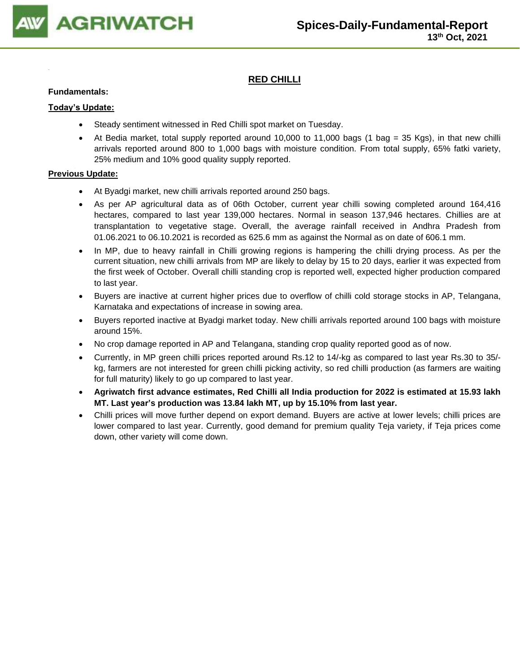

## **RED CHILLI**

### **Fundamentals:**

### **Today's Update:**

- Steady sentiment witnessed in Red Chilli spot market on Tuesday.
- At Bedia market, total supply reported around 10,000 to 11,000 bags (1 bag = 35 Kgs), in that new chilli arrivals reported around 800 to 1,000 bags with moisture condition. From total supply, 65% fatki variety, 25% medium and 10% good quality supply reported.

- At Byadgi market, new chilli arrivals reported around 250 bags.
- As per AP agricultural data as of 06th October, current year chilli sowing completed around 164,416 hectares, compared to last year 139,000 hectares. Normal in season 137,946 hectares. Chillies are at transplantation to vegetative stage. Overall, the average rainfall received in Andhra Pradesh from 01.06.2021 to 06.10.2021 is recorded as 625.6 mm as against the Normal as on date of 606.1 mm.
- In MP, due to heavy rainfall in Chilli growing regions is hampering the chilli drying process. As per the current situation, new chilli arrivals from MP are likely to delay by 15 to 20 days, earlier it was expected from the first week of October. Overall chilli standing crop is reported well, expected higher production compared to last year.
- Buyers are inactive at current higher prices due to overflow of chilli cold storage stocks in AP, Telangana, Karnataka and expectations of increase in sowing area.
- Buyers reported inactive at Byadgi market today. New chilli arrivals reported around 100 bags with moisture around 15%.
- No crop damage reported in AP and Telangana, standing crop quality reported good as of now.
- Currently, in MP green chilli prices reported around Rs.12 to 14/-kg as compared to last year Rs.30 to 35/ kg, farmers are not interested for green chilli picking activity, so red chilli production (as farmers are waiting for full maturity) likely to go up compared to last year.
- **Agriwatch first advance estimates, Red Chilli all India production for 2022 is estimated at 15.93 lakh MT. Last year's production was 13.84 lakh MT, up by 15.10% from last year.**
- Chilli prices will move further depend on export demand. Buyers are active at lower levels; chilli prices are lower compared to last year. Currently, good demand for premium quality Teja variety, if Teja prices come down, other variety will come down.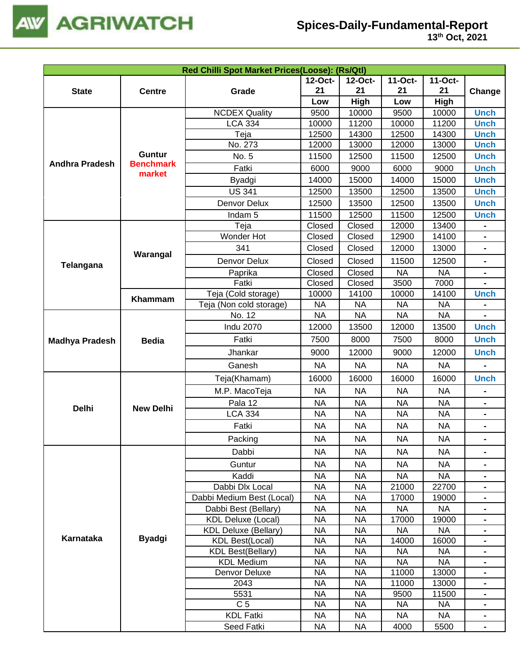

| Red Chilli Spot Market Prices(Loose): (Rs/Qtl) |                  |                                               |                        |                        |                        |                        |                              |  |
|------------------------------------------------|------------------|-----------------------------------------------|------------------------|------------------------|------------------------|------------------------|------------------------------|--|
|                                                |                  |                                               | 12-Oct-                | 12-Oct-                | 11-Oct-                | 11-Oct-                |                              |  |
| <b>State</b>                                   | <b>Centre</b>    | Grade                                         | 21                     | 21                     | 21                     | 21                     | Change                       |  |
|                                                |                  |                                               | Low                    | High                   | Low                    | <b>High</b>            |                              |  |
|                                                |                  | <b>NCDEX Quality</b>                          | 9500                   | 10000                  | 9500                   | 10000                  | <b>Unch</b>                  |  |
|                                                |                  | <b>LCA 334</b>                                | 10000                  | 11200                  | 10000                  | 11200                  | <b>Unch</b>                  |  |
|                                                |                  | Teja                                          | 12500                  | 14300                  | 12500                  | 14300                  | <b>Unch</b>                  |  |
|                                                |                  | No. 273                                       | 12000                  | 13000                  | 12000                  | 13000                  | <b>Unch</b>                  |  |
|                                                | <b>Guntur</b>    | No. 5                                         | 11500                  | 12500                  | 11500                  | 12500                  | <b>Unch</b>                  |  |
| <b>Andhra Pradesh</b>                          | <b>Benchmark</b> | Fatki                                         | 6000                   | 9000                   | 6000                   | 9000                   | <b>Unch</b>                  |  |
|                                                | market           | Byadgi                                        | 14000                  | 15000                  | 14000                  | 15000                  | <b>Unch</b>                  |  |
|                                                |                  | <b>US 341</b>                                 | 12500                  | 13500                  | 12500                  | 13500                  | <b>Unch</b>                  |  |
|                                                |                  | Denvor Delux                                  | 12500                  | 13500                  | 12500                  | 13500                  | <b>Unch</b>                  |  |
|                                                |                  | Indam <sub>5</sub>                            | 11500                  | 12500                  | 11500                  | 12500                  | <b>Unch</b>                  |  |
|                                                |                  | Teja                                          | Closed                 | Closed                 | 12000                  | 13400                  | $\qquad \qquad \blacksquare$ |  |
|                                                |                  | Wonder Hot                                    | Closed                 | Closed                 | 12900                  | 14100                  | $\blacksquare$               |  |
|                                                |                  | 341                                           | Closed                 | Closed                 | 12000                  | 13000                  | $\blacksquare$               |  |
|                                                | Warangal         | Denvor Delux                                  | Closed                 | Closed                 | 11500                  | 12500                  | $\blacksquare$               |  |
| Telangana                                      |                  | Paprika                                       | Closed                 | Closed                 | <b>NA</b>              | <b>NA</b>              | $\blacksquare$               |  |
|                                                |                  | Fatki                                         | Closed                 | Closed                 | 3500                   | 7000                   |                              |  |
|                                                |                  | Teja (Cold storage)                           | 10000                  | 14100                  | 10000                  | 14100                  | <b>Unch</b>                  |  |
|                                                | Khammam          | Teja (Non cold storage)                       | <b>NA</b>              | <b>NA</b>              | <b>NA</b>              | <b>NA</b>              |                              |  |
|                                                |                  | No. 12                                        | <b>NA</b>              | <b>NA</b>              | <b>NA</b>              | <b>NA</b>              |                              |  |
|                                                |                  | <b>Indu 2070</b>                              | 12000                  | 13500                  | 12000                  | 13500                  | <b>Unch</b>                  |  |
| <b>Madhya Pradesh</b>                          | <b>Bedia</b>     | Fatki                                         | 7500                   | 8000                   | 7500                   | 8000                   | <b>Unch</b>                  |  |
|                                                |                  | Jhankar                                       | 9000                   | 12000                  | 9000                   | 12000                  | <b>Unch</b>                  |  |
|                                                |                  | Ganesh                                        | <b>NA</b>              | <b>NA</b>              | <b>NA</b>              | <b>NA</b>              |                              |  |
|                                                |                  | Teja(Khamam)                                  | 16000                  | 16000                  | 16000                  | 16000                  | <b>Unch</b>                  |  |
|                                                |                  | M.P. MacoTeja                                 | <b>NA</b>              | <b>NA</b>              | <b>NA</b>              | <b>NA</b>              |                              |  |
|                                                |                  | Pala 12                                       | <b>NA</b>              | <b>NA</b>              | <b>NA</b>              | <b>NA</b>              | $\blacksquare$               |  |
| <b>Delhi</b>                                   | <b>New Delhi</b> | <b>LCA 334</b>                                | <b>NA</b>              | <b>NA</b>              | <b>NA</b>              | <b>NA</b>              | $\blacksquare$               |  |
|                                                |                  | Fatki                                         | <b>NA</b>              | <b>NA</b>              | <b>NA</b>              | <b>NA</b>              |                              |  |
|                                                |                  |                                               |                        |                        |                        |                        |                              |  |
|                                                |                  | Packing                                       | <b>NA</b>              | <b>NA</b>              | ΝA                     | <b>NA</b>              |                              |  |
|                                                |                  | Dabbi                                         | <b>NA</b>              | <b>NA</b>              | <b>NA</b>              | <b>NA</b>              |                              |  |
|                                                |                  | Guntur                                        | <b>NA</b>              | <b>NA</b>              | <b>NA</b>              | <b>NA</b>              | $\blacksquare$               |  |
|                                                |                  | Kaddi                                         | <b>NA</b>              | <b>NA</b>              | <b>NA</b>              | <b>NA</b>              | $\blacksquare$               |  |
|                                                |                  | Dabbi Dlx Local                               | <b>NA</b>              | <b>NA</b>              | 21000                  | 22700                  |                              |  |
|                                                |                  | Dabbi Medium Best (Local)                     | <b>NA</b>              | <b>NA</b>              | 17000                  | 19000                  |                              |  |
|                                                |                  | Dabbi Best (Bellary)                          | <b>NA</b>              | <b>NA</b>              | <b>NA</b>              | <b>NA</b>              |                              |  |
|                                                |                  | <b>KDL Deluxe (Local)</b>                     | <b>NA</b>              | <b>NA</b>              | 17000                  | 19000                  | $\blacksquare$               |  |
| Karnataka                                      | <b>Byadgi</b>    | <b>KDL Deluxe (Bellary)</b>                   | <b>NA</b>              | <b>NA</b>              | <b>NA</b>              | <b>NA</b>              | $\blacksquare$               |  |
|                                                |                  | <b>KDL Best(Local)</b>                        | <b>NA</b>              | <b>NA</b>              | 14000                  | 16000                  |                              |  |
|                                                |                  | <b>KDL Best(Bellary)</b><br><b>KDL Medium</b> | <b>NA</b><br><b>NA</b> | <b>NA</b><br><b>NA</b> | <b>NA</b><br><b>NA</b> | <b>NA</b><br><b>NA</b> | $\blacksquare$               |  |
|                                                |                  | Denvor Deluxe                                 | <b>NA</b>              | <b>NA</b>              | 11000                  | 13000                  | $\blacksquare$               |  |
|                                                |                  | 2043                                          | <b>NA</b>              | <b>NA</b>              | 11000                  | 13000                  | $\blacksquare$               |  |
|                                                |                  | 5531                                          | <b>NA</b>              | <b>NA</b>              | 9500                   | 11500                  |                              |  |
|                                                |                  | C <sub>5</sub>                                | <b>NA</b>              | <b>NA</b>              | <b>NA</b>              | <b>NA</b>              | $\blacksquare$               |  |
|                                                |                  | <b>KDL Fatki</b>                              | <b>NA</b>              | <b>NA</b>              | <b>NA</b>              | <b>NA</b>              |                              |  |
|                                                |                  | Seed Fatki                                    | <b>NA</b>              | <b>NA</b>              | 4000                   | 5500                   |                              |  |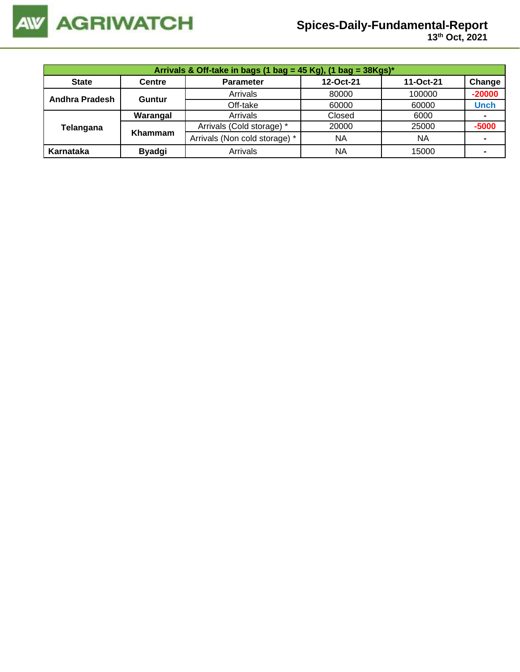

| Arrivals & Off-take in bags (1 bag = 45 Kg), (1 bag = 38Kgs)* |               |                               |           |           |             |  |  |
|---------------------------------------------------------------|---------------|-------------------------------|-----------|-----------|-------------|--|--|
| <b>State</b>                                                  | <b>Centre</b> | <b>Parameter</b>              | 12-Oct-21 | 11-Oct-21 | Change      |  |  |
| <b>Andhra Pradesh</b>                                         | <b>Guntur</b> | Arrivals                      | 80000     | 100000    | $-20000$    |  |  |
|                                                               |               | Off-take                      | 60000     | 60000     | <b>Unch</b> |  |  |
|                                                               | Warangal      | Arrivals                      | Closed    | 6000      |             |  |  |
| Telangana                                                     | Khammam       | Arrivals (Cold storage) *     | 20000     | 25000     | $-5000$     |  |  |
|                                                               |               | Arrivals (Non cold storage) * | <b>NA</b> | <b>NA</b> |             |  |  |
| Karnataka                                                     | <b>Byadgi</b> | Arrivals                      | <b>NA</b> | 15000     |             |  |  |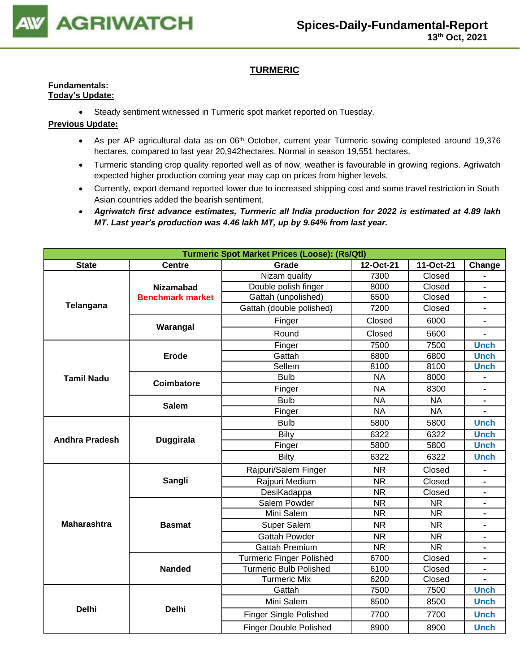

## **TURMERIC**

#### **Fundamentals: Today's Update:**

• Steady sentiment witnessed in Turmeric spot market reported on Tuesday.

- As per AP agricultural data as on 06<sup>th</sup> October, current year Turmeric sowing completed around 19,376 hectares, compared to last year 20,942hectares. Normal in season 19,551 hectares.
- Turmeric standing crop quality reported well as of now, weather is favourable in growing regions. Agriwatch expected higher production coming year may cap on prices from higher levels.
- Currently, export demand reported lower due to increased shipping cost and some travel restriction in South Asian countries added the bearish sentiment.
- *Agriwatch first advance estimates, Turmeric all India production for 2022 is estimated at 4.89 lakh MT. Last year's production was 4.46 lakh MT, up by 9.64% from last year.*

| <b>Turmeric Spot Market Prices (Loose): (Rs/Qtl)</b> |                         |                                 |                        |                        |                              |  |
|------------------------------------------------------|-------------------------|---------------------------------|------------------------|------------------------|------------------------------|--|
| <b>State</b>                                         | <b>Centre</b>           | Grade                           | 12-Oct-21<br>11-Oct-21 |                        | Change                       |  |
|                                                      |                         | Nizam quality                   | 7300                   | Closed                 |                              |  |
|                                                      | <b>Nizamabad</b>        | Double polish finger            | 8000                   | Closed                 | $\blacksquare$               |  |
|                                                      | <b>Benchmark market</b> | Gattah (unpolished)             | 6500                   | Closed                 | $\blacksquare$               |  |
| Telangana                                            |                         | Gattah (double polished)        | 7200                   | Closed                 |                              |  |
|                                                      | Warangal                | Finger                          | Closed                 | 6000                   | $\blacksquare$               |  |
|                                                      |                         | Round                           | Closed                 | 5600                   | $\qquad \qquad \blacksquare$ |  |
|                                                      |                         | Finger                          | 7500                   | 7500                   | <b>Unch</b>                  |  |
|                                                      | <b>Erode</b>            | Gattah                          | 6800                   | 6800                   | <b>Unch</b>                  |  |
|                                                      |                         | Sellem                          | 8100                   | 8100                   | <b>Unch</b>                  |  |
| <b>Tamil Nadu</b>                                    | <b>Coimbatore</b>       | <b>Bulb</b>                     | <b>NA</b>              | 8000                   |                              |  |
|                                                      |                         | Finger                          | <b>NA</b>              | 8300                   |                              |  |
|                                                      | <b>Salem</b>            | <b>Bulb</b>                     | <b>NA</b>              | <b>NA</b>              | $\blacksquare$               |  |
|                                                      |                         | Finger                          | <b>NA</b>              | <b>NA</b>              | $\blacksquare$               |  |
|                                                      |                         | <b>Bulb</b>                     | 5800                   | 5800                   | <b>Unch</b>                  |  |
| <b>Andhra Pradesh</b>                                |                         | <b>Bilty</b>                    | 6322                   | 6322                   | <b>Unch</b>                  |  |
|                                                      | <b>Duggirala</b>        | Finger                          | 5800                   | 5800                   | <b>Unch</b>                  |  |
|                                                      |                         | <b>Bilty</b>                    | 6322                   | 6322                   | <b>Unch</b>                  |  |
|                                                      |                         | Rajpuri/Salem Finger            | <b>NR</b>              | Closed                 |                              |  |
|                                                      | Sangli                  | Rajpuri Medium                  | <b>NR</b>              | Closed                 | $\blacksquare$               |  |
|                                                      |                         | DesiKadappa                     | $\overline{\text{NR}}$ | Closed                 | $\blacksquare$               |  |
|                                                      |                         | Salem Powder                    | <b>NR</b>              | <b>NR</b>              | $\blacksquare$               |  |
|                                                      |                         | Mini Salem                      | <b>NR</b>              | <b>NR</b>              |                              |  |
| <b>Maharashtra</b>                                   | <b>Basmat</b>           | Super Salem                     | <b>NR</b>              | <b>NR</b>              |                              |  |
|                                                      |                         | <b>Gattah Powder</b>            | <b>NR</b>              | <b>NR</b>              | $\blacksquare$               |  |
|                                                      |                         | <b>Gattah Premium</b>           | <b>NR</b>              | $\overline{\text{NR}}$ | $\qquad \qquad \blacksquare$ |  |
|                                                      |                         | <b>Turmeric Finger Polished</b> | 6700                   | Closed                 | $\blacksquare$               |  |
|                                                      | <b>Nanded</b>           | <b>Turmeric Bulb Polished</b>   | 6100                   | Closed                 |                              |  |
|                                                      |                         | <b>Turmeric Mix</b>             | 6200                   | Closed                 |                              |  |
|                                                      |                         | Gattah                          | 7500                   | 7500                   | <b>Unch</b>                  |  |
| <b>Delhi</b>                                         | <b>Delhi</b>            | Mini Salem                      | 8500                   | 8500                   | <b>Unch</b>                  |  |
|                                                      |                         | Finger Single Polished          | 7700                   | 7700                   | <b>Unch</b>                  |  |
|                                                      |                         | <b>Finger Double Polished</b>   | 8900                   | 8900                   | <b>Unch</b>                  |  |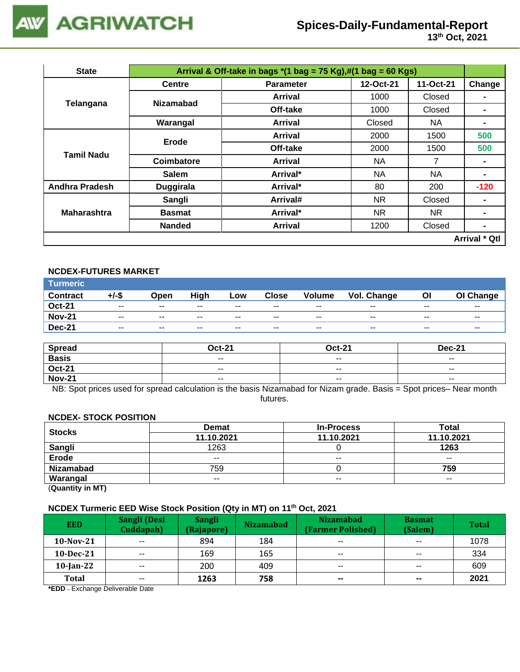

| <b>State</b>          |                  | Arrival & Off-take in bags $*(1 \text{ bag} = 75 \text{ Kg}),\#(1 \text{ bag} = 60 \text{ Kg})$ |           |           |                      |  |  |  |
|-----------------------|------------------|-------------------------------------------------------------------------------------------------|-----------|-----------|----------------------|--|--|--|
|                       | <b>Centre</b>    | <b>Parameter</b>                                                                                | 12-Oct-21 | 11-Oct-21 | Change               |  |  |  |
|                       | <b>Nizamabad</b> | Arrival                                                                                         | 1000      | Closed    |                      |  |  |  |
| Telangana             |                  | Off-take                                                                                        | 1000      | Closed    |                      |  |  |  |
|                       | Warangal         | Arrival                                                                                         | Closed    | NA        | $\blacksquare$       |  |  |  |
|                       | <b>Erode</b>     | Arrival                                                                                         | 2000      | 1500      | 500                  |  |  |  |
|                       |                  | Off-take                                                                                        | 2000      | 1500      | 500                  |  |  |  |
| Tamil Nadu            | Coimbatore       | <b>Arrival</b>                                                                                  | NA.       | 7         | $\blacksquare$       |  |  |  |
|                       | <b>Salem</b>     | Arrival*                                                                                        | NA.       | NA        | $\blacksquare$       |  |  |  |
| <b>Andhra Pradesh</b> | <b>Duggirala</b> | Arrival*                                                                                        | 80        | 200       | $-120$               |  |  |  |
|                       | Sangli           | Arrival#                                                                                        | NR.       | Closed    |                      |  |  |  |
| <b>Maharashtra</b>    | <b>Basmat</b>    | Arrival*                                                                                        | NR.       | NR.       | $\blacksquare$       |  |  |  |
|                       | <b>Nanded</b>    | <b>Arrival</b>                                                                                  | 1200      | Closed    | $\blacksquare$       |  |  |  |
|                       |                  |                                                                                                 |           |           | <b>Arrival * Qtl</b> |  |  |  |

## **NCDEX-FUTURES MARKET**

| <b>Turmeric</b> |               |       |       |       |              |        |             |       |           |
|-----------------|---------------|-------|-------|-------|--------------|--------|-------------|-------|-----------|
| <b>Contract</b> | +/-\$         | Open  | High  | LOW   | <b>Close</b> | Volume | Vol. Change | ΟI    | OI Change |
| <b>Oct-21</b>   | $\sim$ $\sim$ | $- -$ | $- -$ | $- -$ | $- -$        | $- -$  | $- -$       | $- -$ | $- -$     |
| <b>Nov-21</b>   | $- -$         | $- -$ | $- -$ | $- -$ | $- -$        | --     | $- -$       | $- -$ | $- -$     |
| <b>Dec-21</b>   | $\sim$ $\sim$ | $- -$ | $- -$ | $- -$ | $- -$        | $- -$  | $- -$       | $- -$ | $- -$     |

| <b>Spread</b> | <b>Oct-21</b> | <b>Oct-21</b> | <b>Dec-21</b>            |
|---------------|---------------|---------------|--------------------------|
| <b>Basis</b>  | $- -$         | $- -$         | $- -$                    |
| <b>Oct-21</b> | $\sim$ $\sim$ | $- -$         | $\overline{\phantom{a}}$ |
| <b>Nov-21</b> | $\sim$ $\sim$ | $\sim$ $\sim$ | $\overline{\phantom{a}}$ |

NB: Spot prices used for spread calculation is the basis Nizamabad for Nizam grade. Basis = Spot prices– Near month futures.

#### **NCDEX- STOCK POSITION**

| <b>Stocks</b>    | <b>Demat</b>             | <b>In-Process</b>        | Total      |
|------------------|--------------------------|--------------------------|------------|
|                  | 11.10.2021               | 11.10.2021               | 11.10.2021 |
| Sangli           | 1263                     |                          | 1263       |
| <b>Erode</b>     | $\overline{\phantom{a}}$ | $\overline{\phantom{a}}$ | $- -$      |
| <b>Nizamabad</b> | 759                      |                          | 759        |
| Warangal         | $- -$                    | $\overline{\phantom{a}}$ | $- -$      |
|                  |                          |                          |            |

(**Quantity in MT)**

### **NCDEX Turmeric EED Wise Stock Position (Qty in MT) on 11th Oct, 2021**

| <b>EED</b>   | Sangli (Desi<br>Cuddapah) | <b>Sangli</b><br>(Rajapore) | <b>Nizamabad</b> | <b>Nizamabad</b><br>(Farmer Polished) | <b>Basmat</b><br>(Salem) | <b>Total</b> |
|--------------|---------------------------|-----------------------------|------------------|---------------------------------------|--------------------------|--------------|
| $10$ -Nov-21 | $\overline{\phantom{a}}$  | 894                         | 184              | $\overline{\phantom{a}}$              | $\sim$ $\sim$            | 1078         |
| $10$ -Dec-21 | $- -$                     | 169                         | 165              | $\sim$ $\sim$                         | $-$                      | 334          |
| $10$ -Jan-22 | $- -$                     | 200                         | 409              | $- -$                                 | $- -$                    | 609          |
| Total        | $- -$                     | 1263                        | 758              | $\sim$                                | $\sim$                   | 2021         |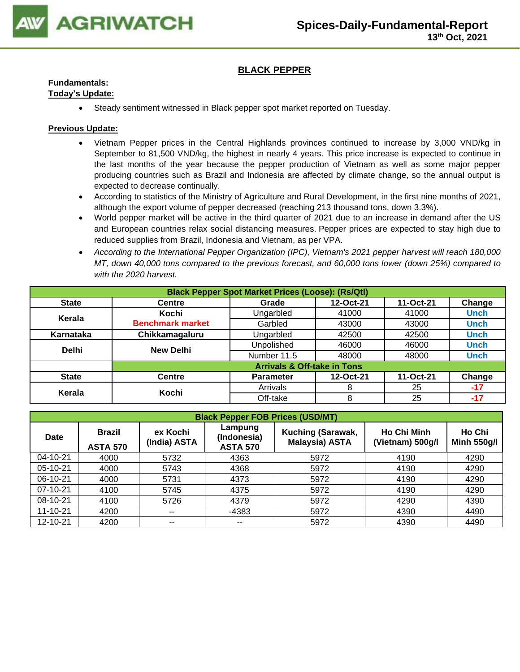

### **BLACK PEPPER**

### **Fundamentals:**

### **Today's Update:**

• Steady sentiment witnessed in Black pepper spot market reported on Tuesday.

- Vietnam Pepper prices in the Central Highlands provinces continued to increase by 3,000 VND/kg in September to 81,500 VND/kg, the highest in nearly 4 years. This price increase is expected to continue in the last months of the year because the pepper production of Vietnam as well as some major pepper producing countries such as Brazil and Indonesia are affected by climate change, so the annual output is expected to decrease continually.
- According to statistics of the Ministry of Agriculture and Rural Development, in the first nine months of 2021, although the export volume of pepper decreased (reaching 213 thousand tons, down 3.3%).
- World pepper market will be active in the third quarter of 2021 due to an increase in demand after the US and European countries relax social distancing measures. Pepper prices are expected to stay high due to reduced supplies from Brazil, Indonesia and Vietnam, as per VPA.
- *According to the International Pepper Organization (IPC), Vietnam's 2021 pepper harvest will reach 180,000 MT, down 40,000 tons compared to the previous forecast, and 60,000 tons lower (down 25%) compared to with the 2020 harvest.*

| <b>Black Pepper Spot Market Prices (Loose): (Rs/Qtl)</b> |                         |                                        |           |           |             |  |  |
|----------------------------------------------------------|-------------------------|----------------------------------------|-----------|-----------|-------------|--|--|
| <b>State</b>                                             | Centre                  | Grade                                  | 12-Oct-21 | 11-Oct-21 | Change      |  |  |
| Kerala                                                   | Kochi                   | Ungarbled                              | 41000     | 41000     | <b>Unch</b> |  |  |
|                                                          | <b>Benchmark market</b> | Garbled                                | 43000     | 43000     | <b>Unch</b> |  |  |
| Karnataka                                                | Chikkamagaluru          | Ungarbled                              | 42500     | 42500     | <b>Unch</b> |  |  |
| <b>Delhi</b>                                             | <b>New Delhi</b>        | Unpolished                             | 46000     | 46000     | <b>Unch</b> |  |  |
|                                                          |                         | Number 11.5                            | 48000     | 48000     | <b>Unch</b> |  |  |
|                                                          |                         | <b>Arrivals &amp; Off-take in Tons</b> |           |           |             |  |  |
| <b>State</b>                                             | <b>Centre</b>           | <b>Parameter</b>                       | 12-Oct-21 | 11-Oct-21 | Change      |  |  |
| Kerala                                                   | Kochi                   | Arrivals                               | 8         | 25        | $-17$       |  |  |
|                                                          |                         | Off-take                               | 8         | 25        | $-17$       |  |  |

|                | <b>Black Pepper FOB Prices (USD/MT)</b> |                                                                                                                            |         |                                        |                              |      |  |  |  |  |  |
|----------------|-----------------------------------------|----------------------------------------------------------------------------------------------------------------------------|---------|----------------------------------------|------------------------------|------|--|--|--|--|--|
| Date           | <b>Brazil</b><br><b>ASTA 570</b>        | Lampung<br><b>Kuching (Sarawak,</b><br>ex Kochi<br>(Indonesia)<br><b>Malaysia) ASTA</b><br>(India) ASTA<br><b>ASTA 570</b> |         | <b>Ho Chi Minh</b><br>(Vietnam) 500g/l | Ho Chi<br><b>Minh 550g/l</b> |      |  |  |  |  |  |
| $04 - 10 - 21$ | 4000                                    | 5732                                                                                                                       | 4363    | 5972                                   | 4190                         | 4290 |  |  |  |  |  |
| 05-10-21       | 4000                                    | 5743                                                                                                                       | 4368    | 5972                                   | 4190                         | 4290 |  |  |  |  |  |
| 06-10-21       | 4000                                    | 5731                                                                                                                       | 4373    | 5972                                   | 4190                         | 4290 |  |  |  |  |  |
| 07-10-21       | 4100                                    | 5745                                                                                                                       | 4375    | 5972                                   | 4190                         | 4290 |  |  |  |  |  |
| 08-10-21       | 4100                                    | 5726                                                                                                                       | 4379    | 5972                                   | 4290                         | 4390 |  |  |  |  |  |
| $11 - 10 - 21$ | 4200                                    | $- -$                                                                                                                      | $-4383$ | 5972                                   | 4390                         | 4490 |  |  |  |  |  |
| 12-10-21       | 4200                                    | $\overline{\phantom{a}}$                                                                                                   | --      | 5972                                   | 4390                         | 4490 |  |  |  |  |  |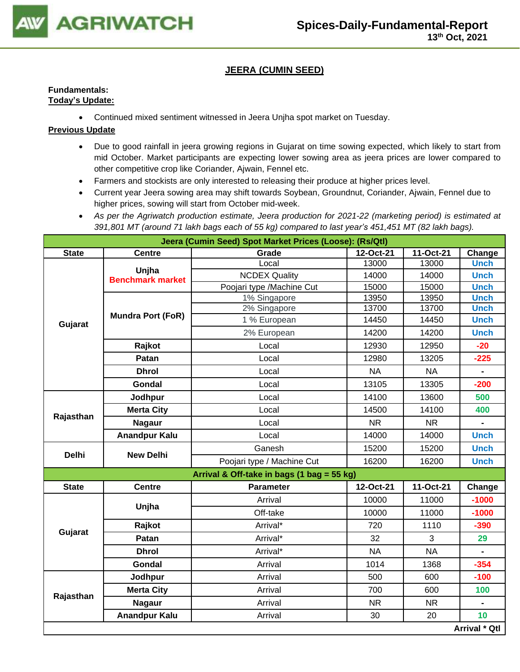

### **JEERA (CUMIN SEED)**

### **Fundamentals: Today's Update:**

• Continued mixed sentiment witnessed in Jeera Unjha spot market on Tuesday.

- Due to good rainfall in jeera growing regions in Gujarat on time sowing expected, which likely to start from mid October. Market participants are expecting lower sowing area as jeera prices are lower compared to other competitive crop like Coriander, Ajwain, Fennel etc.
- Farmers and stockists are only interested to releasing their produce at higher prices level.
- Current year Jeera sowing area may shift towards Soybean, Groundnut, Coriander, Ajwain, Fennel due to higher prices, sowing will start from October mid-week.
- *As per the Agriwatch production estimate, Jeera production for 2021-22 (marketing period) is estimated at 391,801 MT (around 71 lakh bags each of 55 kg) compared to last year's 451,451 MT (82 lakh bags).*

| Jeera (Cumin Seed) Spot Market Prices (Loose): (Rs/Qtl) |                          |                                            |           |           |                |  |  |
|---------------------------------------------------------|--------------------------|--------------------------------------------|-----------|-----------|----------------|--|--|
| <b>State</b>                                            | <b>Centre</b>            | Grade                                      | 12-Oct-21 | 11-Oct-21 | Change         |  |  |
|                                                         | Unjha                    | Local                                      | 13000     | 13000     | <b>Unch</b>    |  |  |
|                                                         | <b>Benchmark market</b>  | <b>NCDEX Quality</b>                       | 14000     | 14000     | <b>Unch</b>    |  |  |
|                                                         |                          | Poojari type /Machine Cut                  | 15000     | 15000     | <b>Unch</b>    |  |  |
|                                                         |                          | 1% Singapore                               | 13950     | 13950     | <b>Unch</b>    |  |  |
|                                                         | <b>Mundra Port (FoR)</b> | 2% Singapore                               | 13700     | 13700     | <b>Unch</b>    |  |  |
| Gujarat                                                 |                          | 1 % European                               | 14450     | 14450     | <b>Unch</b>    |  |  |
|                                                         |                          | 2% European                                | 14200     | 14200     | <b>Unch</b>    |  |  |
|                                                         | Rajkot                   | Local                                      | 12930     | 12950     | $-20$          |  |  |
|                                                         | Patan                    | Local                                      | 12980     | 13205     | $-225$         |  |  |
|                                                         | <b>Dhrol</b>             | Local                                      | <b>NA</b> | <b>NA</b> | $\blacksquare$ |  |  |
|                                                         | Gondal                   | Local                                      | 13105     | 13305     | $-200$         |  |  |
|                                                         | Jodhpur                  | Local                                      | 14100     | 13600     | 500            |  |  |
| Rajasthan                                               | <b>Merta City</b>        | Local                                      | 14500     | 14100     | 400            |  |  |
|                                                         | <b>Nagaur</b>            | Local                                      | <b>NR</b> | <b>NR</b> |                |  |  |
|                                                         | <b>Anandpur Kalu</b>     | Local                                      | 14000     | 14000     | <b>Unch</b>    |  |  |
| <b>Delhi</b>                                            | <b>New Delhi</b>         | Ganesh                                     | 15200     | 15200     | <b>Unch</b>    |  |  |
|                                                         |                          | Poojari type / Machine Cut                 | 16200     | 16200     | <b>Unch</b>    |  |  |
|                                                         |                          | Arrival & Off-take in bags (1 bag = 55 kg) |           |           |                |  |  |
| <b>State</b>                                            | <b>Centre</b>            | <b>Parameter</b>                           | 12-Oct-21 | 11-Oct-21 | Change         |  |  |
|                                                         | Unjha                    | Arrival                                    | 10000     | 11000     | $-1000$        |  |  |
|                                                         |                          | Off-take                                   | 10000     | 11000     | $-1000$        |  |  |
| Gujarat                                                 | Rajkot                   | Arrival*                                   | 720       | 1110      | $-390$         |  |  |
|                                                         | Patan                    | Arrival*                                   | 32        | 3         | 29             |  |  |
|                                                         | <b>Dhrol</b>             | Arrival*                                   | <b>NA</b> | <b>NA</b> |                |  |  |
|                                                         | <b>Gondal</b>            | Arrival                                    | 1014      | 1368      | $-354$         |  |  |
|                                                         | Jodhpur                  | Arrival                                    | 500       | 600       | $-100$         |  |  |
| Rajasthan                                               | <b>Merta City</b>        | Arrival                                    | 700       | 600       | 100            |  |  |
|                                                         | <b>Nagaur</b>            | Arrival                                    | <b>NR</b> | <b>NR</b> |                |  |  |
|                                                         | <b>Anandpur Kalu</b>     | Arrival                                    | 30        | 20        | 10             |  |  |
|                                                         |                          |                                            |           |           | Arrival * Qtl  |  |  |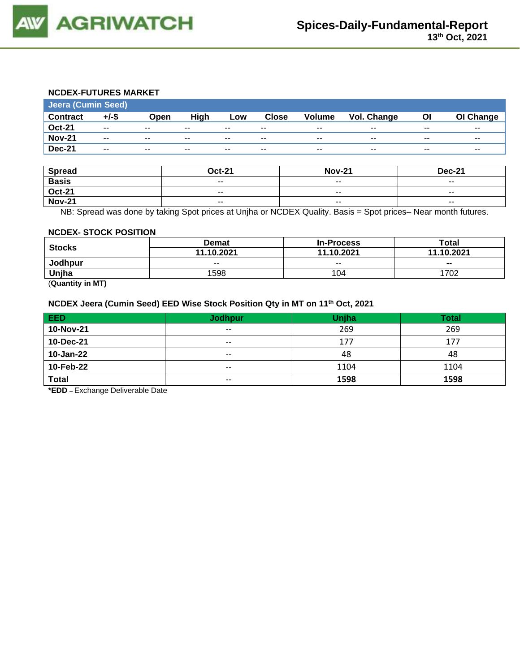

#### **NCDEX-FUTURES MARKET**

|                 | <b>Jeera (Cumin Seed)</b> |                          |       |       |              |               |                    |       |           |
|-----------------|---------------------------|--------------------------|-------|-------|--------------|---------------|--------------------|-------|-----------|
| <b>Contract</b> | $+/-$ \$                  | Open                     | High  | Low   | <b>Close</b> | <b>Volume</b> | <b>Vol. Change</b> | ΟI    | OI Change |
| <b>Oct-21</b>   | $\overline{\phantom{a}}$  | $\overline{\phantom{a}}$ | $- -$ | $- -$ | $- -$        | $-$           | $- -$              | $- -$ | $- -$     |
| <b>Nov-21</b>   | $- -$                     | $- -$                    | $- -$ | $- -$ | $\sim$       | $-$           | $- -$              | $- -$ | $- -$     |
| <b>Dec-21</b>   | $- -$                     | $- -$                    | $- -$ | $- -$ | $- -$        | --            | $- -$              | $- -$ | $- -$     |

| <b>Spread</b> | <b>Oct-21</b>            | <b>Nov-21</b>            | <b>Dec-21</b>            |
|---------------|--------------------------|--------------------------|--------------------------|
| <b>Basis</b>  | $\overline{\phantom{a}}$ | $- -$                    | $- -$                    |
| <b>Oct-21</b> | $- -$                    | $\overline{\phantom{a}}$ | $\overline{\phantom{a}}$ |
| <b>Nov-21</b> | $\overline{\phantom{a}}$ | $- -$                    | $- -$                    |

NB: Spread was done by taking Spot prices at Unjha or NCDEX Quality. Basis = Spot prices– Near month futures.

#### **NCDEX- STOCK POSITION**

|               | <b>Demat</b> | <b>In-Process</b> | Total      |  |
|---------------|--------------|-------------------|------------|--|
| <b>Stocks</b> | 11.10.2021   | 11.10.2021        | 11.10.2021 |  |
| Jodhpur       | $- -$        | $- -$             | $- -$      |  |
| Unjha         | 1598         | 104               | 1702       |  |

(**Quantity in MT)**

### **NCDEX Jeera (Cumin Seed) EED Wise Stock Position Qty in MT on 11th Oct, 2021**

| EED          | <b>Jodhpur</b>           | Unjha | <b>Total</b> |
|--------------|--------------------------|-------|--------------|
| 10-Nov-21    | $\overline{\phantom{a}}$ | 269   | 269          |
| 10-Dec-21    | $- -$                    | 177   | 177          |
| 10-Jan-22    | $- -$                    | 48    | 48           |
| 10-Feb-22    | $\sim$ $\sim$            | 1104  | 1104         |
| <b>Total</b> | $- -$                    | 1598  | 1598         |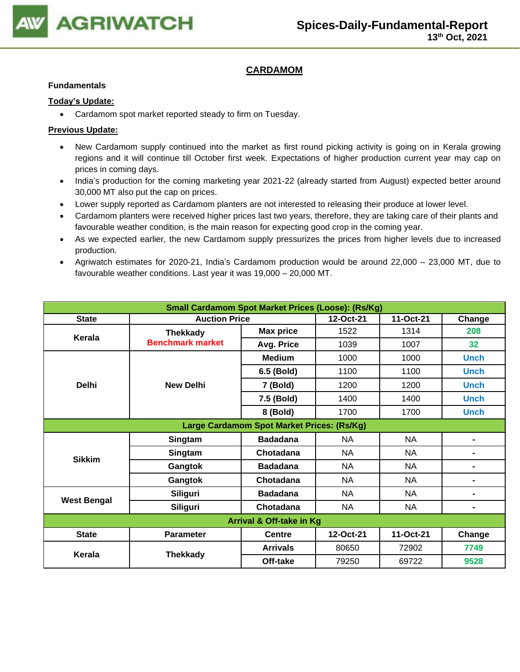

## **CARDAMOM**

#### **Fundamentals**

### **Today's Update:**

• Cardamom spot market reported steady to firm on Tuesday.

- New Cardamom supply continued into the market as first round picking activity is going on in Kerala growing regions and it will continue till October first week. Expectations of higher production current year may cap on prices in coming days.
- India's production for the coming marketing year 2021-22 (already started from August) expected better around 30,000 MT also put the cap on prices.
- Lower supply reported as Cardamom planters are not interested to releasing their produce at lower level.
- Cardamom planters were received higher prices last two years, therefore, they are taking care of their plants and favourable weather condition, is the main reason for expecting good crop in the coming year.
- As we expected earlier, the new Cardamom supply pressurizes the prices from higher levels due to increased production.
- Agriwatch estimates for 2020-21, India's Cardamom production would be around 22,000 23,000 MT, due to favourable weather conditions. Last year it was 19,000 – 20,000 MT.

| <b>Small Cardamom Spot Market Prices (Loose): (Rs/Kg)</b> |                                            |                  |           |           |                |  |  |  |
|-----------------------------------------------------------|--------------------------------------------|------------------|-----------|-----------|----------------|--|--|--|
| <b>State</b>                                              | <b>Auction Price</b>                       | 12-Oct-21        | 11-Oct-21 | Change    |                |  |  |  |
| Kerala                                                    | <b>Thekkady</b>                            | <b>Max price</b> | 1522      | 1314      | 208            |  |  |  |
|                                                           | <b>Benchmark market</b>                    | Avg. Price       | 1039      | 1007      | 32             |  |  |  |
|                                                           |                                            | <b>Medium</b>    | 1000      | 1000      | <b>Unch</b>    |  |  |  |
|                                                           |                                            | 6.5 (Bold)       | 1100      | 1100      | <b>Unch</b>    |  |  |  |
| <b>Delhi</b>                                              | <b>New Delhi</b>                           | 7 (Bold)         | 1200      | 1200      | <b>Unch</b>    |  |  |  |
|                                                           |                                            | 7.5 (Bold)       | 1400      | 1400      | <b>Unch</b>    |  |  |  |
|                                                           |                                            | 8 (Bold)         | 1700      | 1700      | <b>Unch</b>    |  |  |  |
|                                                           | Large Cardamom Spot Market Prices: (Rs/Kg) |                  |           |           |                |  |  |  |
|                                                           | Singtam                                    | <b>Badadana</b>  | NA        | <b>NA</b> | ۰              |  |  |  |
| <b>Sikkim</b>                                             | Singtam                                    | Chotadana        | NA.       | <b>NA</b> | ۰              |  |  |  |
|                                                           | Gangtok                                    | <b>Badadana</b>  | <b>NA</b> | <b>NA</b> | ۰              |  |  |  |
|                                                           | Gangtok                                    | Chotadana        | <b>NA</b> | <b>NA</b> | -              |  |  |  |
|                                                           | <b>Siliguri</b>                            | <b>Badadana</b>  | NA        | <b>NA</b> | $\blacksquare$ |  |  |  |
| <b>West Bengal</b>                                        | <b>Siliguri</b>                            | Chotadana        | <b>NA</b> | <b>NA</b> | -              |  |  |  |
| Arrival & Off-take in Kg                                  |                                            |                  |           |           |                |  |  |  |
| <b>State</b>                                              | <b>Parameter</b>                           | <b>Centre</b>    | 12-Oct-21 | 11-Oct-21 | Change         |  |  |  |
| Kerala                                                    |                                            | <b>Arrivals</b>  | 80650     | 72902     | 7749           |  |  |  |
|                                                           | <b>Thekkady</b>                            | Off-take         | 79250     | 69722     | 9528           |  |  |  |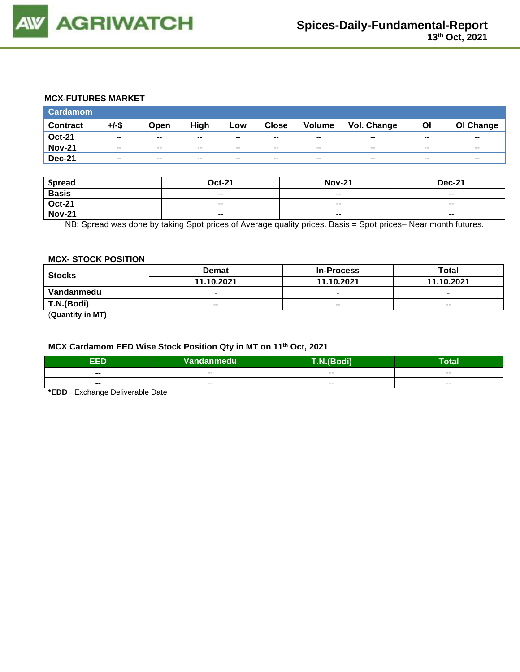

### **MCX-FUTURES MARKET**

| <b>Cardamom</b> |          |       |       |       |              |                          |                    |       |           |
|-----------------|----------|-------|-------|-------|--------------|--------------------------|--------------------|-------|-----------|
| <b>Contract</b> | $+/-$ \$ | Open  | High  | Low   | <b>Close</b> | <b>Volume</b>            | <b>Vol. Change</b> | Οl    | OI Change |
| <b>Oct-21</b>   | $- -$    | $- -$ | $- -$ | $- -$ | $- -$        | $- -$                    | $- -$              | $- -$ | $- -$     |
| <b>Nov-21</b>   | $- -$    | $- -$ | --    | $- -$ | $- -$        | $\overline{\phantom{a}}$ | $- -$              | $- -$ | $- -$     |
| <b>Dec-21</b>   | $- -$    | $- -$ | --    | $- -$ | $- -$        | $- -$                    | $- -$              | $- -$ | $- -$     |

| <b>Spread</b> | <b>Oct-21</b>            | <b>Nov-21</b> | <b>Dec-21</b>            |
|---------------|--------------------------|---------------|--------------------------|
| <b>Basis</b>  | $\overline{\phantom{a}}$ | $-$           | $\overline{\phantom{a}}$ |
| <b>Oct-21</b> | $- -$                    | $- -$         | $-$                      |
| <b>Nov-21</b> | $\overline{\phantom{a}}$ | $-$           | $\overline{\phantom{a}}$ |

NB: Spread was done by taking Spot prices of Average quality prices. Basis = Spot prices– Near month futures.

#### **MCX- STOCK POSITION**

| <b>Stocks</b>            | <b>Demat</b>             | <b>In-Process</b>        | Total                    |  |
|--------------------------|--------------------------|--------------------------|--------------------------|--|
|                          | 11.10.2021               | 11.10.2021               | 11.10.2021               |  |
| Vandanmedu               | $\overline{\phantom{0}}$ | $\overline{\phantom{0}}$ | $\overline{\phantom{0}}$ |  |
| T.N.(Bodi)               | $- -$                    | $- -$                    | $- -$                    |  |
| $\overline{\phantom{a}}$ |                          |                          |                          |  |

(**Quantity in MT)**

## **MCX Cardamom EED Wise Stock Position Qty in MT on 11th Oct, 2021**

| п                        | Vandanmedu | ,di)                     | -<br><b>otal</b> |
|--------------------------|------------|--------------------------|------------------|
| $\blacksquare$           | $- -$      | $- -$                    | $- -$            |
| $\overline{\phantom{a}}$ | $- -$      | $\overline{\phantom{a}}$ | $- -$            |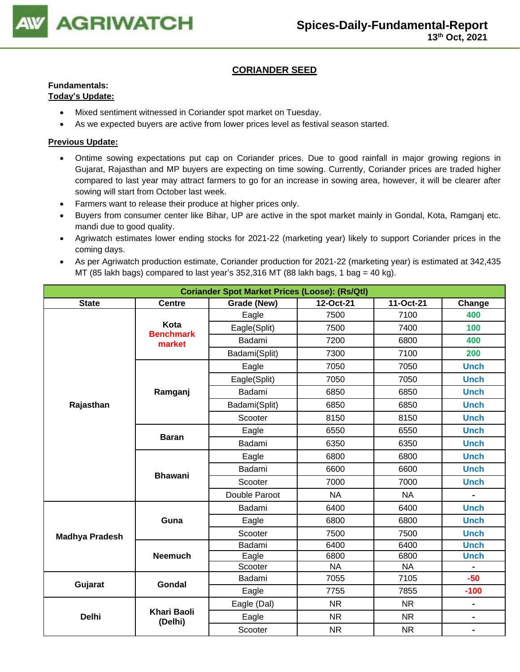

### **CORIANDER SEED**

## **Fundamentals:**

### **Today's Update:**

- Mixed sentiment witnessed in Coriander spot market on Tuesday.
- As we expected buyers are active from lower prices level as festival season started.

- Ontime sowing expectations put cap on Coriander prices. Due to good rainfall in major growing regions in Gujarat, Rajasthan and MP buyers are expecting on time sowing. Currently, Coriander prices are traded higher compared to last year may attract farmers to go for an increase in sowing area, however, it will be clearer after sowing will start from October last week.
- Farmers want to release their produce at higher prices only.
- Buyers from consumer center like Bihar, UP are active in the spot market mainly in Gondal, Kota, Ramganj etc. mandi due to good quality.
- Agriwatch estimates lower ending stocks for 2021-22 (marketing year) likely to support Coriander prices in the coming days.
- As per Agriwatch production estimate, Coriander production for 2021-22 (marketing year) is estimated at 342,435 MT (85 lakh bags) compared to last year's 352,316 MT (88 lakh bags, 1 bag = 40 kg).

| <b>Coriander Spot Market Prices (Loose): (Rs/Qtl)</b> |                                                                  |               |           |           |                |  |  |  |
|-------------------------------------------------------|------------------------------------------------------------------|---------------|-----------|-----------|----------------|--|--|--|
| <b>State</b>                                          | 12-Oct-21<br>Grade (New)<br>11-Oct-21<br><b>Centre</b><br>Change |               |           |           |                |  |  |  |
|                                                       |                                                                  | Eagle         | 7500      | 7100      | 400            |  |  |  |
|                                                       | Kota<br><b>Benchmark</b>                                         | Eagle(Split)  | 7500      | 7400      | 100            |  |  |  |
|                                                       | market                                                           | Badami        | 7200      | 6800      | 400            |  |  |  |
|                                                       |                                                                  | Badami(Split) | 7300      | 7100      | 200            |  |  |  |
|                                                       |                                                                  | Eagle         | 7050      | 7050      | <b>Unch</b>    |  |  |  |
|                                                       |                                                                  | Eagle(Split)  | 7050      | 7050      | <b>Unch</b>    |  |  |  |
|                                                       | Ramganj                                                          | Badami        | 6850      | 6850      | <b>Unch</b>    |  |  |  |
| Rajasthan                                             |                                                                  | Badami(Split) | 6850      | 6850      | <b>Unch</b>    |  |  |  |
|                                                       |                                                                  | Scooter       | 8150      | 8150      | <b>Unch</b>    |  |  |  |
|                                                       |                                                                  | Eagle         | 6550      | 6550      | <b>Unch</b>    |  |  |  |
|                                                       | <b>Baran</b>                                                     | Badami        | 6350      | 6350      | <b>Unch</b>    |  |  |  |
|                                                       |                                                                  | Eagle         | 6800      | 6800      | <b>Unch</b>    |  |  |  |
|                                                       | <b>Bhawani</b>                                                   | Badami        | 6600      | 6600      | <b>Unch</b>    |  |  |  |
|                                                       |                                                                  | Scooter       | 7000      | 7000      | <b>Unch</b>    |  |  |  |
|                                                       |                                                                  | Double Paroot | <b>NA</b> | <b>NA</b> | $\blacksquare$ |  |  |  |
|                                                       |                                                                  | Badami        | 6400      | 6400      | <b>Unch</b>    |  |  |  |
|                                                       | Guna                                                             | Eagle         | 6800      | 6800      | <b>Unch</b>    |  |  |  |
| <b>Madhya Pradesh</b>                                 |                                                                  | Scooter       | 7500      | 7500      | <b>Unch</b>    |  |  |  |
|                                                       |                                                                  | Badami        | 6400      | 6400      | <b>Unch</b>    |  |  |  |
|                                                       | <b>Neemuch</b>                                                   | Eagle         | 6800      | 6800      | <b>Unch</b>    |  |  |  |
|                                                       |                                                                  | Scooter       | <b>NA</b> | <b>NA</b> |                |  |  |  |
| Gujarat                                               | Gondal                                                           | Badami        | 7055      | 7105      | $-50$          |  |  |  |
|                                                       |                                                                  | Eagle         | 7755      | 7855      | $-100$         |  |  |  |
|                                                       |                                                                  | Eagle (Dal)   | <b>NR</b> | <b>NR</b> | $\blacksquare$ |  |  |  |
| <b>Delhi</b>                                          | <b>Khari Baoli</b><br>(Delhi)                                    | Eagle         | <b>NR</b> | <b>NR</b> | $\blacksquare$ |  |  |  |
|                                                       |                                                                  | Scooter       | <b>NR</b> | <b>NR</b> | $\blacksquare$ |  |  |  |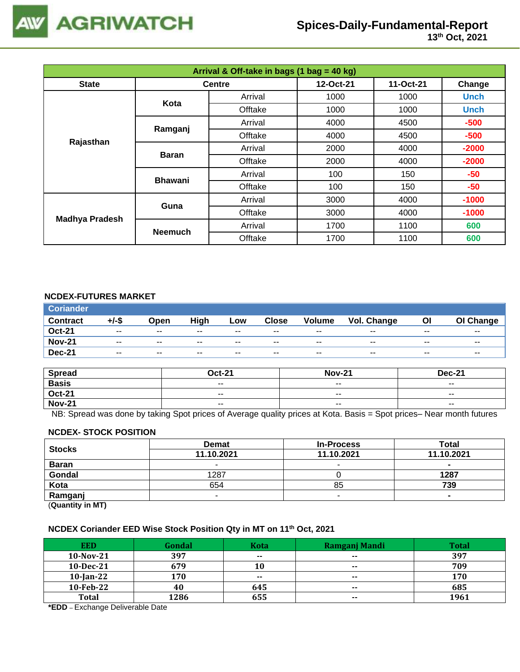

| Arrival & Off-take in bags (1 bag = 40 kg) |                |               |           |             |             |  |  |
|--------------------------------------------|----------------|---------------|-----------|-------------|-------------|--|--|
| <b>State</b>                               |                | <b>Centre</b> | 12-Oct-21 | 11-Oct-21   | Change      |  |  |
| Kota                                       | Arrival        | 1000          | 1000      | <b>Unch</b> |             |  |  |
|                                            |                | Offtake       | 1000      | 1000        | <b>Unch</b> |  |  |
|                                            | Ramganj        | Arrival       | 4000      | 4500        | $-500$      |  |  |
| Rajasthan                                  |                | Offtake       | 4000      | 4500        | $-500$      |  |  |
|                                            | <b>Baran</b>   | Arrival       | 2000      | 4000        | $-2000$     |  |  |
|                                            |                | Offtake       | 2000      | 4000        | $-2000$     |  |  |
|                                            | <b>Bhawani</b> | Arrival       | 100       | 150         | $-50$       |  |  |
|                                            |                | Offtake       | 100       | 150         | -50         |  |  |
| <b>Madhya Pradesh</b>                      | Guna           | Arrival       | 3000      | 4000        | $-1000$     |  |  |
|                                            |                | Offtake       | 3000      | 4000        | $-1000$     |  |  |
|                                            |                | Arrival       | 1700      | 1100        | 600         |  |  |
|                                            | <b>Neemuch</b> | Offtake       | 1700      | 1100        | 600         |  |  |

### **NCDEX-FUTURES MARKET**

| <b>Coriander</b> |       |       |       |       |              |               |             |       |           |
|------------------|-------|-------|-------|-------|--------------|---------------|-------------|-------|-----------|
| <b>Contract</b>  | +/-\$ | Open  | High  | Low   | <b>Close</b> | <b>Volume</b> | Vol. Change | ΟI    | OI Change |
| <b>Oct-21</b>    | $- -$ | $- -$ | $- -$ | $- -$ | $- -$        | $- -$         | $- -$       | $- -$ | $- -$     |
| <b>Nov-21</b>    | $- -$ | $- -$ | $- -$ | $- -$ | $- -$        | $- -$         | $- -$       | $- -$ | $- -$     |
| <b>Dec-21</b>    | $- -$ | $- -$ | $- -$ | $- -$ | $- -$        | $- -$         | $- -$       | $- -$ | $- -$     |

| <b>Spread</b> | <b>Oct-21</b> | <b>Nov-21</b>            | <b>Dec-21</b>            |
|---------------|---------------|--------------------------|--------------------------|
| <b>Basis</b>  | $ -$          | $\overline{\phantom{a}}$ | $\overline{\phantom{a}}$ |
| <b>Oct-21</b> | $- -$         | $- -$                    | $- -$                    |
| <b>Nov-21</b> | $ -$          | $\sim$ $\sim$            | $\overline{\phantom{a}}$ |

NB: Spread was done by taking Spot prices of Average quality prices at Kota. Basis = Spot prices– Near month futures

#### **NCDEX- STOCK POSITION**

| <b>Stocks</b>           | <b>Demat</b> | <b>In-Process</b> | Total      |  |  |  |
|-------------------------|--------------|-------------------|------------|--|--|--|
|                         | 11.10.2021   | 11.10.2021        | 11.10.2021 |  |  |  |
| <b>Baran</b>            |              | -                 | $\sim$     |  |  |  |
| Gondal                  | 1287         |                   | 1287       |  |  |  |
| Kota                    | 654          | 85                | 739        |  |  |  |
| Ramganj                 |              |                   |            |  |  |  |
| (0.1222, 0.0122, 0.000) |              |                   |            |  |  |  |

(**Quantity in MT)**

### **NCDEX Coriander EED Wise Stock Position Qty in MT on 11th Oct, 2021**

| <b>EED</b>   | Gondal | <b>Kota</b>   | Ramganj Mandi            | <b>Total</b> |
|--------------|--------|---------------|--------------------------|--------------|
| $10-Nov-21$  | 397    | $\sim$ $\sim$ | $\overline{\phantom{a}}$ | 397          |
| $10$ -Dec-21 | 679    | 10            | $\sim$ $\sim$            | 709          |
| $10$ -Jan-22 | 170    | $- -$         | $\sim$                   | 170          |
| 10-Feb-22    | 40     | 645           | $\sim$ $\sim$            | 685          |
| <b>Total</b> | 1286   | 655           | $- -$                    | 1961         |